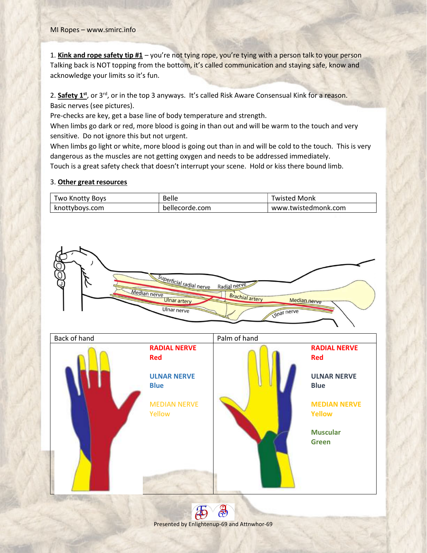1. Kink and rope safety tip  $#1 -$  you're not tying rope, you're tying with a person talk to your person Talking back is NOT topping from the bottom, it's called communication and staying safe, know and acknowledge your limits so it's fun.

2. Safety 1st, or 3<sup>rd</sup>, or in the top 3 anyways. It's called Risk Aware Consensual Kink for a reason. Basic nerves (see pictures).

Pre-checks are key, get a base line of body temperature and strength.

When limbs go dark or red, more blood is going in than out and will be warm to the touch and very sensitive. Do not ignore this but not urgent.

When limbs go light or white, more blood is going out than in and will be cold to the touch. This is very dangerous as the muscles are not getting oxygen and needs to be addressed immediately. Touch is a great safety check that doesn't interrupt your scene. Hold or kiss there bound limb.

## 3. Other great resources

| Two Knotty Boys | <b>Belle</b>   | <b>Twisted Monk</b> |
|-----------------|----------------|---------------------|
| knottyboys.com  | bellecorde.com | www.twistedmonk.com |



Presented by Enlightenup-69 and Attnwhor-69